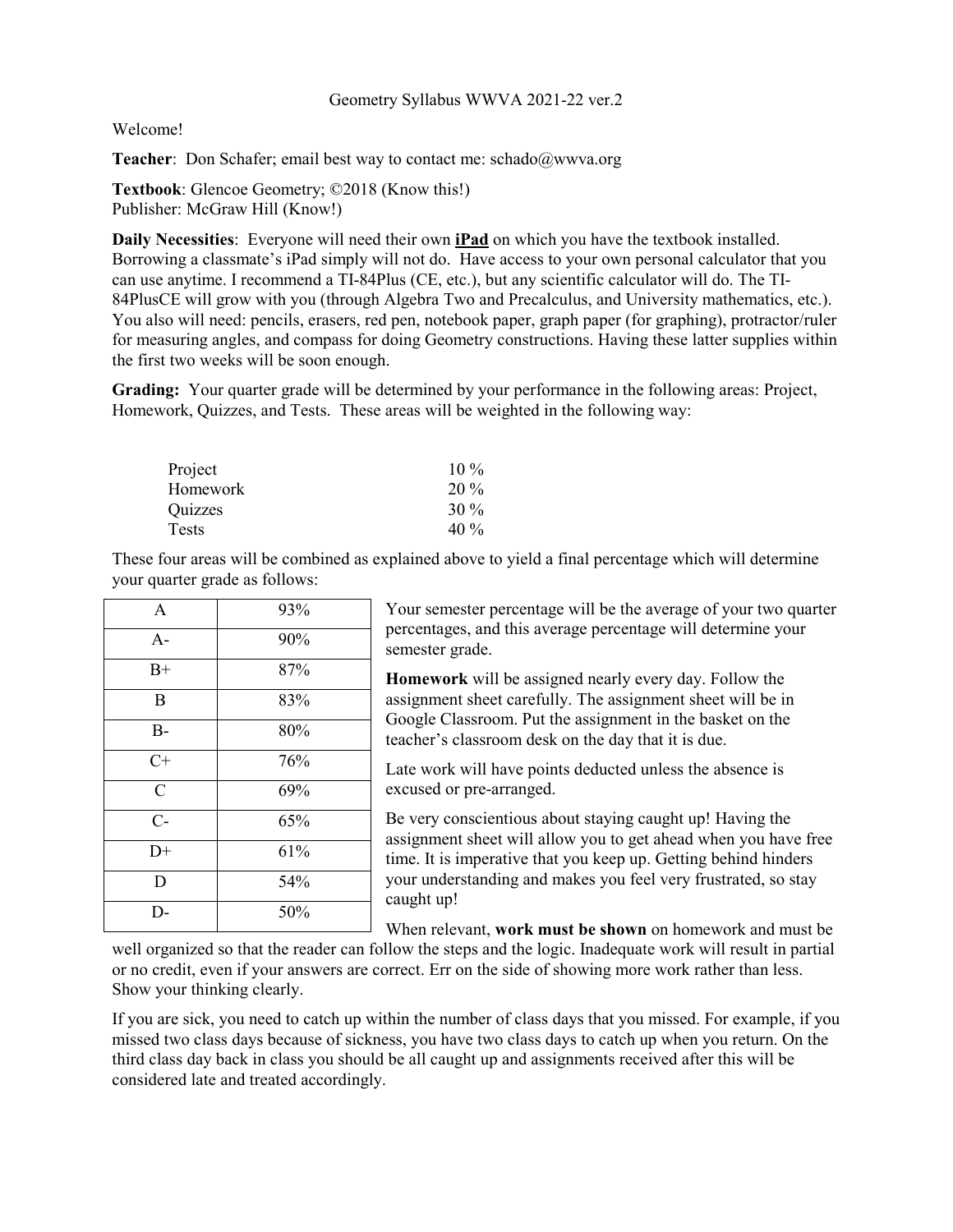## Geometry Syllabus WWVA 2021-22 ver.2

Welcome!

**Teacher:** Don Schafer; email best way to contact me: [schado@wwva.org](mailto:schado@wwva.org)

**Textbook**: Glencoe Geometry; ©2018 (Know this!) Publisher: McGraw Hill (Know!)

**Daily Necessities**: Everyone will need their own **iPad** on which you have the textbook installed. Borrowing a classmate's iPad simply will not do. Have access to your own personal calculator that you can use anytime. I recommend a TI-84Plus (CE, etc.), but any scientific calculator will do. The TI-84PlusCE will grow with you (through Algebra Two and Precalculus, and University mathematics, etc.). You also will need: pencils, erasers, red pen, notebook paper, graph paper (for graphing), protractor/ruler for measuring angles, and compass for doing Geometry constructions. Having these latter supplies within the first two weeks will be soon enough.

**Grading:** Your quarter grade will be determined by your performance in the following areas: Project, Homework, Quizzes, and Tests. These areas will be weighted in the following way:

| $10\%$ |
|--------|
| 20 %   |
| 30%    |
| 40 %   |
|        |

These four areas will be combined as explained above to yield a final percentage which will determine your quarter grade as follows:

| $\mathbf{A}$   | 93% |
|----------------|-----|
| $A-$           | 90% |
| $B+$           | 87% |
| B              | 83% |
| $B -$          | 80% |
| $C+$           | 76% |
| $\overline{C}$ | 69% |
| $C-$           | 65% |
| $D+$           | 61% |
| D              | 54% |
| D-             | 50% |

Your semester percentage will be the average of your two quarter percentages, and this average percentage will determine your semester grade.

**Homework** will be assigned nearly every day. Follow the assignment sheet carefully. The assignment sheet will be in Google Classroom. Put the assignment in the basket on the teacher's classroom desk on the day that it is due.

Late work will have points deducted unless the absence is excused or pre-arranged.

Be very conscientious about staying caught up! Having the assignment sheet will allow you to get ahead when you have free time. It is imperative that you keep up. Getting behind hinders your understanding and makes you feel very frustrated, so stay caught up!

When relevant, **work must be shown** on homework and must be

well organized so that the reader can follow the steps and the logic. Inadequate work will result in partial or no credit, even if your answers are correct. Err on the side of showing more work rather than less. Show your thinking clearly.

If you are sick, you need to catch up within the number of class days that you missed. For example, if you missed two class days because of sickness, you have two class days to catch up when you return. On the third class day back in class you should be all caught up and assignments received after this will be considered late and treated accordingly.